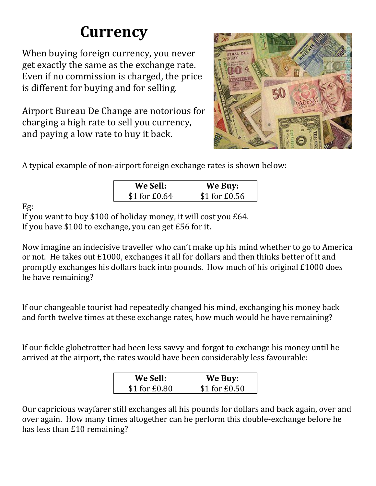## **Currency**

When buying foreign currency, you never get exactly the same as the exchange rate. Even if no commission is charged, the price is different for buying and for selling.

Airport Bureau De Change are notorious for charging a high rate to sell you currency, and paying a low rate to buy it back.



A typical example of non-airport foreign exchange rates is shown below:

| <b>We Sell:</b> | We Buy:       |
|-----------------|---------------|
| $$1$ for £0.64  | \$1 for £0.56 |

Eg:

If you want to buy \$100 of holiday money, it will cost you £64. If you have \$100 to exchange, you can get £56 for it.

Now imagine an indecisive traveller who can't make up his mind whether to go to America or not. He takes out £1000, exchanges it all for dollars and then thinks better of it and promptly exchanges his dollars back into pounds. How much of his original £1000 does he have remaining?

If our changeable tourist had repeatedly changed his mind, exchanging his money back and forth twelve times at these exchange rates, how much would he have remaining?

If our fickle globetrotter had been less savvy and forgot to exchange his money until he arrived at the airport, the rates would have been considerably less favourable:

| <b>We Sell:</b> | We Buy:       |
|-----------------|---------------|
| \$1 for £0.80   | \$1 for £0.50 |

Our capricious wayfarer still exchanges all his pounds for dollars and back again, over and over again. How many times altogether can he perform this double-exchange before he has less than £10 remaining?